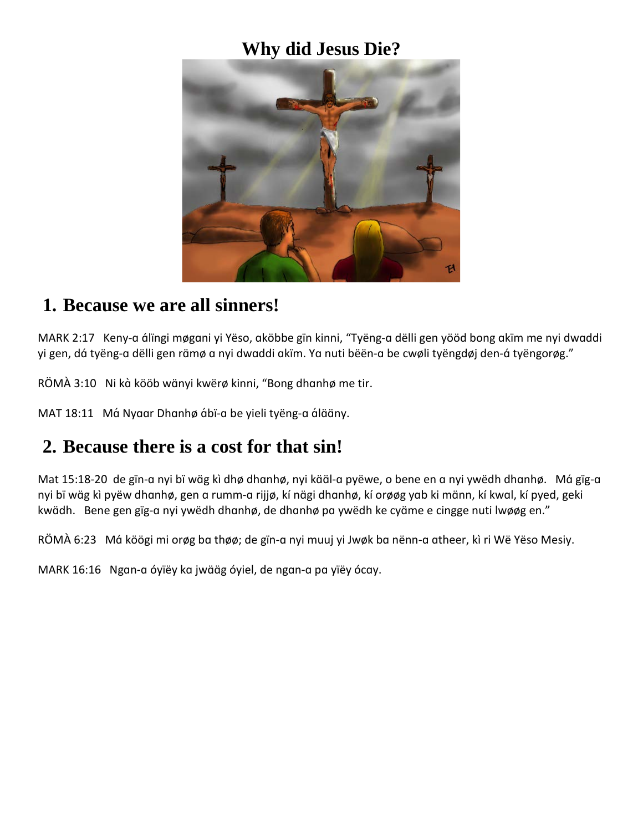#### **Why did Jesus Die?**



#### **1. Because we are all sinners!**

MARK 2:17Keny-ɑ ɑ́lïngi møgɑni yi Yëso, ɑköbbe gïn kinni, "Tyëng-ɑ dëlli gen yööd bong ɑkïm me nyi dwɑddi yi gen, dá tyëng-a dëlli gen rämø a nyi dwaddi akïm. Ya nuti bëën-a be cwøli tyëngdøj den-á tyëngorøg."

RÖMÀ 3:10 Ni kà kööb wänyi kwërø kinni, "Bong dhanhø me tir.

MAT 18:11 Má Nyaar Dhanhø ábï-a be yieli tyëng-a álääny.

# **2. Because there is a cost for that sin!**

Mat 15:18-20 de gïn-a nyi bï wäg kì dhø dhanhø, nyi kääl-a pyëwe, o bene en a nyi ywëdh dhanhø. Má gïg-a nyi bï wɑ̈g kì pyëw dhɑnhø, gen ɑ rumm-ɑ rijjø, kí nɑ̈gi dhɑnhø, kí orøøg yɑb ki mɑ̈nn, kí kwɑl, kí pyed, geki kwädh. Bene gen gïg-a nyi ywëdh dhanhø, de dhanhø pa ywëdh ke cyäme e cingge nuti lwøøg en."

RÖMÀ 6:23 Má köögi mi orøg ba thøø; de gïn-a nyi muuj yi Jwøk ba nënn-a atheer, kì ri Wë Yëso Mesiy.

MARK 16:16 Ngan-a óyïëy ka jwääg óyiel, de ngan-a pa yïëy ócay.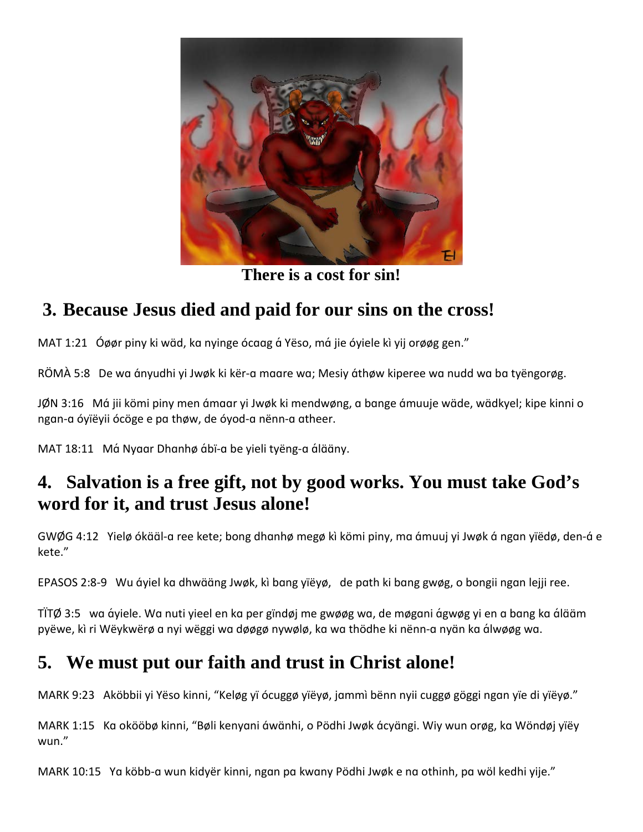

**There is a cost for sin!**

# **3. Because Jesus died and paid for our sins on the cross!**

MAT 1:21 Óøør piny ki wäd, ka nyinge ócaag á Yëso, má jie óyiele kì yij orøøg gen."

RÖMÀ 5:8 De wa ányudhi yi Jwøk ki kër-a maare wa; Mesiy áthøw kiperee wa nudd wa ba tyëngorøg.

JØN 3:16 Má jii kömi piny men ámaar yi Jwøk ki mendwøng, a bange ámuuje wäde, wädkyel; kipe kinni o ngɑn-ɑ óyïëyii ócöge e pɑ thøw, de óyod-ɑ nënn-ɑ ɑtheer.

MAT 18:11 Má Nyaar Dhanhø ábï-a be yieli tyëng-a álääny.

## **4. Salvation is a free gift, not by good works. You must take God's word for it, and trust Jesus alone!**

GWØG 4:12 Yielø ókääl-a ree kete; bong dhanhø megø kì kömi piny, ma ámuuj yi Jwøk á ngan yïëdø, den-á e kete."

EPASOS 2:8-9 Wu áyiel ka dhwääng Jwøk, kì bang yïëyø, de path ki bang gwøg, o bongii ngan lejji ree.

TÏTØ 3:5 wa áyiele. Wa nuti yieel en ka per gïndøj me gwøøg wa, de møgani ágwøg yi en a bang ka álääm pyëwe, kì ri Wëykwërø a nyi wëggi wa døøgø nywølø, ka wa thödhe ki nënn-a nyän ka álwøøg wa.

### **5. We must put our faith and trust in Christ alone!**

MARK 9:23 Aköbbii yi Yëso kinni, "Keløg yï ócuggø yïëyø, jɑmmì bënn nyii cuggø göggi ngɑn yïe di yïëyø."

MARK 1:15 Kɑ okööbø kinni, "Bøli kenyɑni ɑ́wɑ̈nhi, o Pödhi Jwøk ɑ́cyɑ̈ngi. Wiy wun orøg, kɑ Wöndøj yïëy wun."

MARK 10:15 Yɑ köbb-ɑ wun kidyër kinni, ngɑn pɑ kwɑny Pödhi Jwøk e nɑ othinh, pɑ wöl kedhi yije."